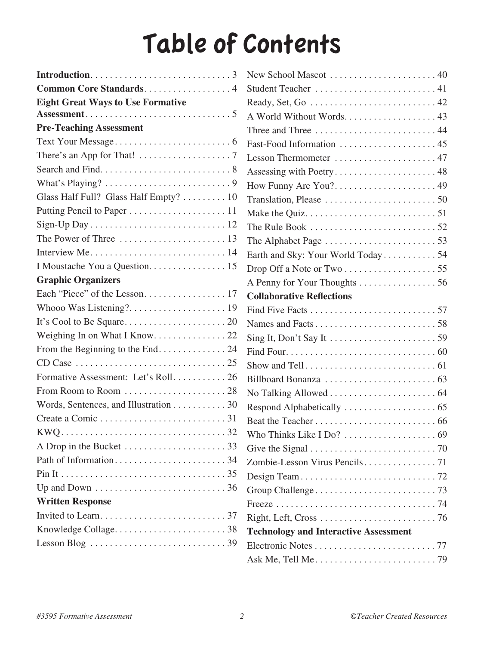## Table of Contents

| Common Core Standards 4                                                  |
|--------------------------------------------------------------------------|
| <b>Eight Great Ways to Use Formative</b>                                 |
|                                                                          |
| <b>Pre-Teaching Assessment</b>                                           |
|                                                                          |
| There's an App for That! $\ldots \ldots \ldots \ldots \ldots \ldots$     |
|                                                                          |
|                                                                          |
| Glass Half Full? Glass Half Empty?  10                                   |
|                                                                          |
|                                                                          |
|                                                                          |
|                                                                          |
| I Moustache You a Question. 15                                           |
| <b>Graphic Organizers</b>                                                |
|                                                                          |
|                                                                          |
|                                                                          |
|                                                                          |
| From the Beginning to the End. 24                                        |
|                                                                          |
| Formative Assessment: Let's Roll 26                                      |
|                                                                          |
| Words, Sentences, and Illustration 30                                    |
|                                                                          |
| $\ldots \ldots \ldots 32$                                                |
|                                                                          |
|                                                                          |
|                                                                          |
|                                                                          |
| <b>Written Response</b>                                                  |
|                                                                          |
|                                                                          |
| Lesson Blog $\ldots \ldots \ldots \ldots \ldots \ldots \ldots \ldots 39$ |
|                                                                          |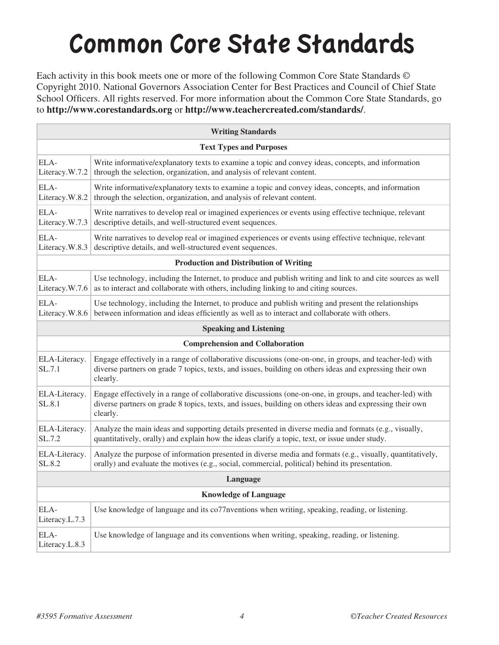## Common Core State Standards

Each activity in this book meets one or more of the following Common Core State Standards © Copyright 2010. National Governors Association Center for Best Practices and Council of Chief State School Officers. All rights reserved. For more information about the Common Core State Standards, go to **http://www.corestandards.org** or **http://www.teachercreated.com/standards/**.

| <b>Writing Standards</b>                      |                                                                                                                                                                                                                                  |  |
|-----------------------------------------------|----------------------------------------------------------------------------------------------------------------------------------------------------------------------------------------------------------------------------------|--|
| <b>Text Types and Purposes</b>                |                                                                                                                                                                                                                                  |  |
| ELA-<br>Literacy.W.7.2                        | Write informative/explanatory texts to examine a topic and convey ideas, concepts, and information<br>through the selection, organization, and analysis of relevant content.                                                     |  |
| ELA-<br>Literacy.W.8.2                        | Write informative/explanatory texts to examine a topic and convey ideas, concepts, and information<br>through the selection, organization, and analysis of relevant content.                                                     |  |
| ELA-<br>Literacy.W.7.3                        | Write narratives to develop real or imagined experiences or events using effective technique, relevant<br>descriptive details, and well-structured event sequences.                                                              |  |
| ELA-<br>Literacy.W.8.3                        | Write narratives to develop real or imagined experiences or events using effective technique, relevant<br>descriptive details, and well-structured event sequences.                                                              |  |
| <b>Production and Distribution of Writing</b> |                                                                                                                                                                                                                                  |  |
| ELA-<br>Literacy.W.7.6                        | Use technology, including the Internet, to produce and publish writing and link to and cite sources as well<br>as to interact and collaborate with others, including linking to and citing sources.                              |  |
| ELA-<br>Literacy.W.8.6                        | Use technology, including the Internet, to produce and publish writing and present the relationships<br>between information and ideas efficiently as well as to interact and collaborate with others.                            |  |
| <b>Speaking and Listening</b>                 |                                                                                                                                                                                                                                  |  |
| <b>Comprehension and Collaboration</b>        |                                                                                                                                                                                                                                  |  |
| ELA-Literacy.<br>SL.7.1                       | Engage effectively in a range of collaborative discussions (one-on-one, in groups, and teacher-led) with<br>diverse partners on grade 7 topics, texts, and issues, building on others ideas and expressing their own<br>clearly. |  |
| ELA-Literacy.<br>SL.8.1                       | Engage effectively in a range of collaborative discussions (one-on-one, in groups, and teacher-led) with<br>diverse partners on grade 8 topics, texts, and issues, building on others ideas and expressing their own<br>clearly. |  |
| ELA-Literacy.<br>SL.7.2                       | Analyze the main ideas and supporting details presented in diverse media and formats (e.g., visually,<br>quantitatively, orally) and explain how the ideas clarify a topic, text, or issue under study.                          |  |
| ELA-Literacy.<br>SL.8.2                       | Analyze the purpose of information presented in diverse media and formats (e.g., visually, quantitatively,<br>orally) and evaluate the motives (e.g., social, commercial, political) behind its presentation.                    |  |
| Language                                      |                                                                                                                                                                                                                                  |  |
| <b>Knowledge of Language</b>                  |                                                                                                                                                                                                                                  |  |
| ELA-<br>Literacy.L.7.3                        | Use knowledge of language and its co77nventions when writing, speaking, reading, or listening.                                                                                                                                   |  |
| ELA-<br>Literacy.L.8.3                        | Use knowledge of language and its conventions when writing, speaking, reading, or listening.                                                                                                                                     |  |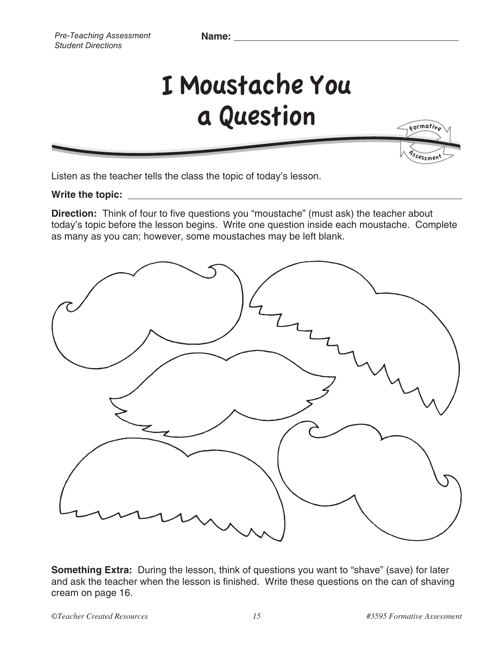**Name:** 

## I Moustache You a Question

Listen as the teacher tells the class the topic of today's lesson.

**Write the topic:** 

**Direction:** Think of four to five questions you "moustache" (must ask) the teacher about today's topic before the lesson begins. Write one question inside each moustache. Complete as many as you can; however, some moustaches may be left blank.



**Something Extra:** During the lesson, think of questions you want to "shave" (save) for later and ask the teacher when the lesson is finished. Write these questions on the can of shaving cream on page 16.

Ssessment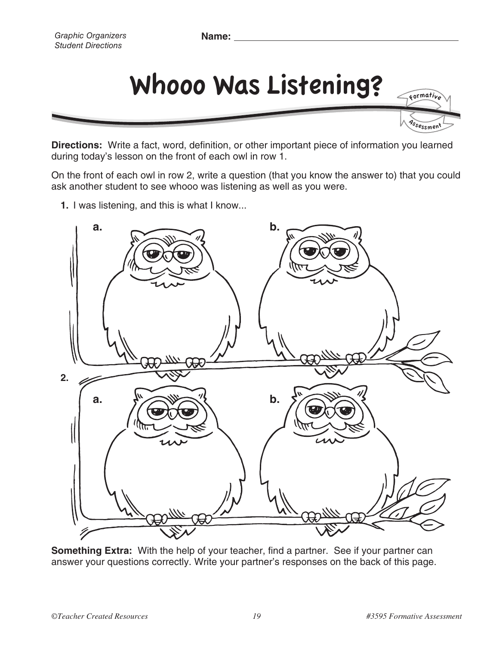*Graphic Organizers Student Directions*



**Directions:** Write a fact, word, definition, or other important piece of information you learned during today's lesson on the front of each owl in row 1.

On the front of each owl in row 2, write a question (that you know the answer to) that you could ask another student to see whooo was listening as well as you were.

**1.** I was listening, and this is what I know...



**Something Extra:** With the help of your teacher, find a partner. See if your partner can answer your questions correctly. Write your partner's responses on the back of this page.